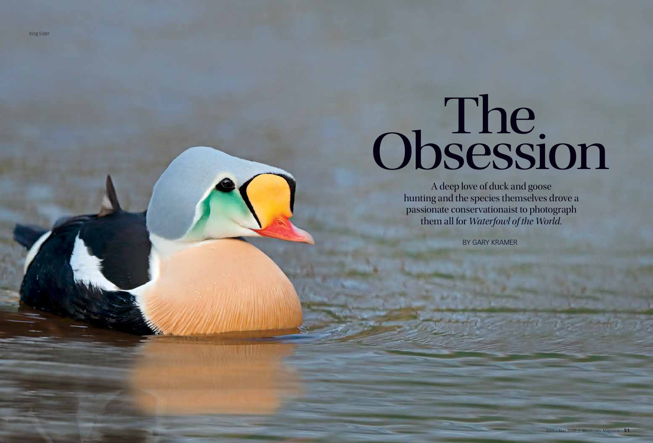King Eider

## The Obsession

A deep love of duck and goose hunting and the species themselves drove a passionate conservationaist to photograph them all for *Waterfowl of the World.*

BY GARY KRAMER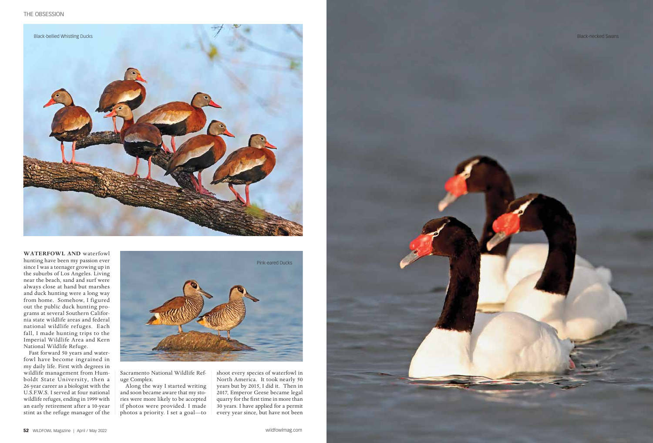

**WATERFOWL AND** waterfowl hunting have been my passion ever since I was a teenager growing up in the suburbs of Los Angeles. Living near the beach, sand and surf were always close at hand but marshes and duck hunting were a long way from home. Somehow, I figured out the public duck hunting programs at several Southern California state wildlife areas and federal national wildlife refuges. Each fall, I made hunting trips to the Imperial Wildlife Area and Kern National Wildlife Refuge.

Fast forward 50 years and waterfowl have become ingrained in my daily life. First with degrees in wildlife management from Humboldt State University, then a 26-year career as a biologist with the U.S.F.W.S. I served at four national wildlife refuges, ending in 1999 with an early retirement after a 10-year stint as the refuge manager of the



Sacramento National Wildlife Refuge Complex.

Along the way I started writing and soon became aware that my stories were more likely to be accepted if photos were provided. I made photos a priority. I set a goal—to

shoot every species of waterfowl in North America. It took nearly 50 years but by 2015, I did it. Then in 2017, Emperor Geese became legal quarry for the first time in more than 30 years. I have applied for a permit every year since, but have not been

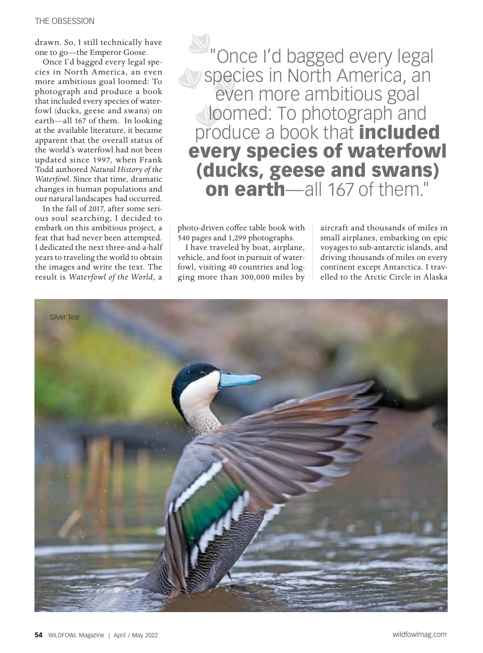drawn. So, I still technically have one to go—the Emperor Goose.

Once I'd bagged every legal species in North America, an even more ambitious goal loomed: To photograph and produce a book that included every species of waterfowl (ducks, geese and swans) on earth—all 167 of them. In looking at the available literature, it became apparent that the overall status of the world's waterfowl had not been updated since 1997, when Frank Todd authored *Natural History of the Waterfowl*. Since that time, dramatic changes in human populations and our natural landscapes had occurred.

In the fall of 2017, after some serious soul searching, I decided to embark on this ambitious project, a feat that had never been attempted. I dedicated the next three-and-a-half years to traveling the world to obtain the images and write the text. The result is *Waterfowl of the World*, a

"Once I'd bagged every legal species in North America, an even more ambitious goal **loomed:** To photograph and produce a book that **included** every species of waterfowl (ducks, geese and swans) on earth—all 167 of them."

photo-driven coffee table book with 540 pages and 1,299 photographs.

I have traveled by boat, airplane, vehicle, and foot in pursuit of waterfowl, visiting 40 countries and logging more than 300,000 miles by

aircraft and thousands of miles in small airplanes, embarking on epic voyages to sub-antarctic islands, and driving thousands of miles on every continent except Antarctica. I travelled to the Arctic Circle in Alaska